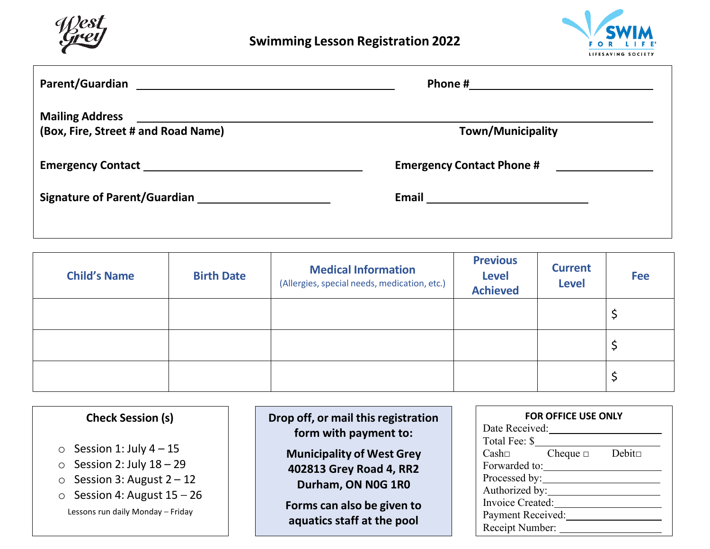



| (Box, Fire, Street # and Road Name) | <b>Town/Municipality</b> |  |
|-------------------------------------|--------------------------|--|
|                                     |                          |  |
|                                     |                          |  |

| <b>Child's Name</b> | <b>Birth Date</b> | <b>Medical Information</b><br>(Allergies, special needs, medication, etc.) | <b>Previous</b><br><b>Level</b><br><b>Achieved</b> | <b>Current</b><br><b>Level</b> | <b>Fee</b> |
|---------------------|-------------------|----------------------------------------------------------------------------|----------------------------------------------------|--------------------------------|------------|
|                     |                   |                                                                            |                                                    |                                |            |
|                     |                   |                                                                            |                                                    |                                |            |
|                     |                   |                                                                            |                                                    |                                |            |

| <b>Check Session (s)</b>                                                                                                                                                                       | Drop off, or mail this registration<br>form with payment to:                                                                                  | <b>FOR OFFICE USE ONLY</b><br>Date Received:<br>Total Fee: \$                                                                                           |
|------------------------------------------------------------------------------------------------------------------------------------------------------------------------------------------------|-----------------------------------------------------------------------------------------------------------------------------------------------|---------------------------------------------------------------------------------------------------------------------------------------------------------|
| $\circ$ Session 1: July 4 – 15<br>Session 2: July $18 - 29$<br>$\circ$<br>Session 3: August $2 - 12$<br>$\circ$<br>Session 4: August $15 - 26$<br>$\circ$<br>Lessons run daily Monday - Friday | <b>Municipality of West Grey</b><br>402813 Grey Road 4, RR2<br>Durham, ON N0G 1R0<br>Forms can also be given to<br>aquatics staff at the pool | $Debit\square$<br>Cash<br>Cheque $\Box$<br>Forwarded to:<br>Processed by:<br>Authorized by:<br>Invoice Created:<br>Payment Received:<br>Receipt Number: |